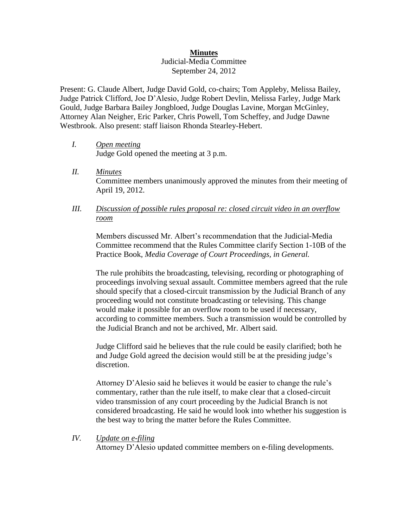## **Minutes**

## Judicial-Media Committee September 24, 2012

Present: G. Claude Albert, Judge David Gold, co-chairs; Tom Appleby, Melissa Bailey, Judge Patrick Clifford, Joe D'Alesio, Judge Robert Devlin, Melissa Farley, Judge Mark Gould, Judge Barbara Bailey Jongbloed, Judge Douglas Lavine, Morgan McGinley, Attorney Alan Neigher, Eric Parker, Chris Powell, Tom Scheffey, and Judge Dawne Westbrook. Also present: staff liaison Rhonda Stearley-Hebert.

- *I. Open meeting*  Judge Gold opened the meeting at 3 p.m.
- *II. Minutes*  Committee members unanimously approved the minutes from their meeting of April 19, 2012.
- *III. Discussion of possible rules proposal re: closed circuit video in an overflow room*

Members discussed Mr. Albert's recommendation that the Judicial-Media Committee recommend that the Rules Committee clarify Section 1-10B of the Practice Book, *Media Coverage of Court Proceedings, in General.*

The rule prohibits the broadcasting, televising, recording or photographing of proceedings involving sexual assault. Committee members agreed that the rule should specify that a closed-circuit transmission by the Judicial Branch of any proceeding would not constitute broadcasting or televising. This change would make it possible for an overflow room to be used if necessary, according to committee members. Such a transmission would be controlled by the Judicial Branch and not be archived, Mr. Albert said.

Judge Clifford said he believes that the rule could be easily clarified; both he and Judge Gold agreed the decision would still be at the presiding judge's discretion.

Attorney D'Alesio said he believes it would be easier to change the rule's commentary, rather than the rule itself, to make clear that a closed-circuit video transmission of any court proceeding by the Judicial Branch is not considered broadcasting. He said he would look into whether his suggestion is the best way to bring the matter before the Rules Committee.

## *IV. Update on e-filing*

Attorney D'Alesio updated committee members on e-filing developments.